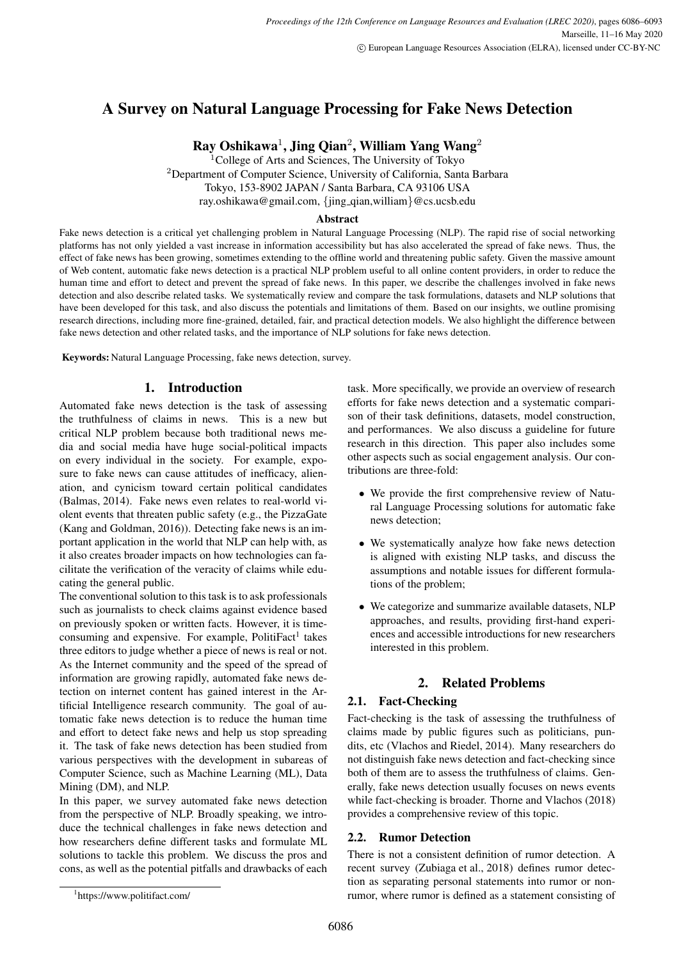# A Survey on Natural Language Processing for Fake News Detection

Ray Oshikawa<sup>1</sup>, Jing Qian<sup>2</sup>, William Yang Wang<sup>2</sup>

<sup>1</sup>College of Arts and Sciences, The University of Tokyo <sup>2</sup>Department of Computer Science, University of California, Santa Barbara Tokyo, 153-8902 JAPAN / Santa Barbara, CA 93106 USA ray.oshikawa@gmail.com, *{*jing qian,william*}*@cs.ucsb.edu

### Abstract

Fake news detection is a critical yet challenging problem in Natural Language Processing (NLP). The rapid rise of social networking platforms has not only yielded a vast increase in information accessibility but has also accelerated the spread of fake news. Thus, the effect of fake news has been growing, sometimes extending to the offline world and threatening public safety. Given the massive amount of Web content, automatic fake news detection is a practical NLP problem useful to all online content providers, in order to reduce the human time and effort to detect and prevent the spread of fake news. In this paper, we describe the challenges involved in fake news detection and also describe related tasks. We systematically review and compare the task formulations, datasets and NLP solutions that have been developed for this task, and also discuss the potentials and limitations of them. Based on our insights, we outline promising research directions, including more fine-grained, detailed, fair, and practical detection models. We also highlight the difference between fake news detection and other related tasks, and the importance of NLP solutions for fake news detection.

Keywords: Natural Language Processing, fake news detection, survey.

### 1. Introduction

Automated fake news detection is the task of assessing the truthfulness of claims in news. This is a new but critical NLP problem because both traditional news media and social media have huge social-political impacts on every individual in the society. For example, exposure to fake news can cause attitudes of inefficacy, alienation, and cynicism toward certain political candidates (Balmas, 2014). Fake news even relates to real-world violent events that threaten public safety (e.g., the PizzaGate (Kang and Goldman, 2016)). Detecting fake news is an important application in the world that NLP can help with, as it also creates broader impacts on how technologies can facilitate the verification of the veracity of claims while educating the general public.

The conventional solution to this task is to ask professionals such as journalists to check claims against evidence based on previously spoken or written facts. However, it is timeconsuming and expensive. For example, PolitiFact<sup>1</sup> takes three editors to judge whether a piece of news is real or not. As the Internet community and the speed of the spread of information are growing rapidly, automated fake news detection on internet content has gained interest in the Artificial Intelligence research community. The goal of automatic fake news detection is to reduce the human time and effort to detect fake news and help us stop spreading it. The task of fake news detection has been studied from various perspectives with the development in subareas of Computer Science, such as Machine Learning (ML), Data Mining (DM), and NLP.

In this paper, we survey automated fake news detection from the perspective of NLP. Broadly speaking, we introduce the technical challenges in fake news detection and how researchers define different tasks and formulate ML solutions to tackle this problem. We discuss the pros and cons, as well as the potential pitfalls and drawbacks of each task. More specifically, we provide an overview of research efforts for fake news detection and a systematic comparison of their task definitions, datasets, model construction, and performances. We also discuss a guideline for future research in this direction. This paper also includes some other aspects such as social engagement analysis. Our contributions are three-fold:

- *•* We provide the first comprehensive review of Natural Language Processing solutions for automatic fake news detection;
- We systematically analyze how fake news detection is aligned with existing NLP tasks, and discuss the assumptions and notable issues for different formulations of the problem;
- *•* We categorize and summarize available datasets, NLP approaches, and results, providing first-hand experiences and accessible introductions for new researchers interested in this problem.

### 2. Related Problems

### 2.1. Fact-Checking

Fact-checking is the task of assessing the truthfulness of claims made by public figures such as politicians, pundits, etc (Vlachos and Riedel, 2014). Many researchers do not distinguish fake news detection and fact-checking since both of them are to assess the truthfulness of claims. Generally, fake news detection usually focuses on news events while fact-checking is broader. Thorne and Vlachos (2018) provides a comprehensive review of this topic.

### 2.2. Rumor Detection

There is not a consistent definition of rumor detection. A recent survey (Zubiaga et al., 2018) defines rumor detection as separating personal statements into rumor or nonrumor, where rumor is defined as a statement consisting of

<sup>1</sup> https://www.politifact.com/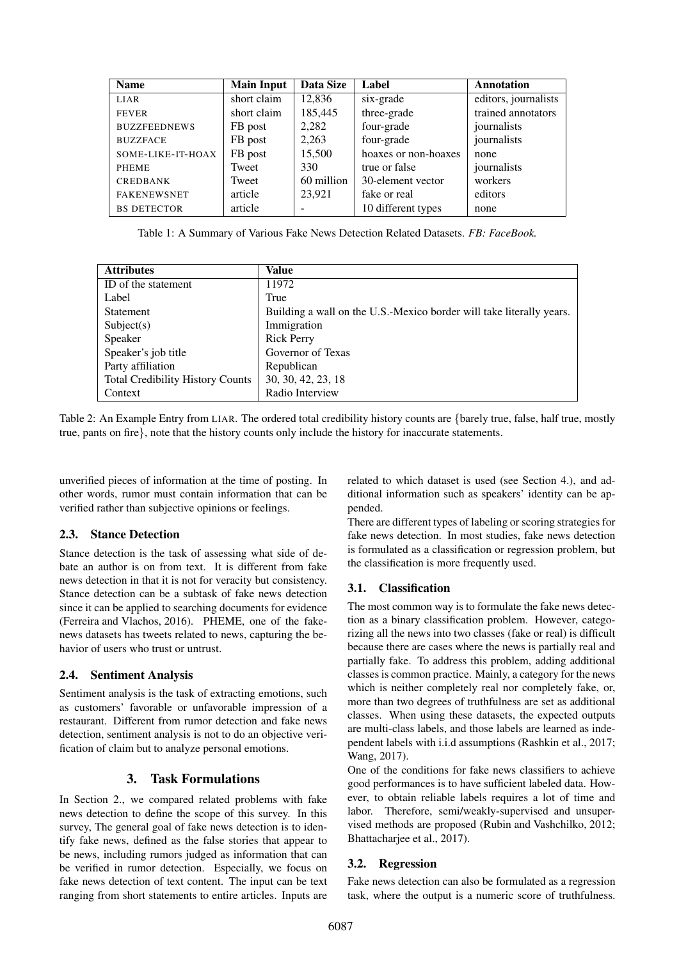| <b>Name</b>         | <b>Main Input</b> | Data Size  | Label                | <b>Annotation</b>    |
|---------------------|-------------------|------------|----------------------|----------------------|
| <b>LIAR</b>         | short claim       | 12,836     | six-grade            | editors, journalists |
| <b>FEVER</b>        | short claim       | 185,445    | three-grade          | trained annotators   |
| <b>BUZZFEEDNEWS</b> | FB post           | 2,282      | four-grade           | journalists          |
| <b>BUZZFACE</b>     | FB post           | 2,263      | four-grade           | journalists          |
| SOME-LIKE-IT-HOAX   | FB post           | 15,500     | hoaxes or non-hoaxes | none                 |
| <b>PHEME</b>        | Tweet             | 330        | true or false        | journalists          |
| <b>CREDBANK</b>     | Tweet             | 60 million | 30-element vector    | workers              |
| <b>FAKENEWSNET</b>  | article           | 23,921     | fake or real         | editors              |
| <b>BS DETECTOR</b>  | article           |            | 10 different types   | none                 |

Table 1: A Summary of Various Fake News Detection Related Datasets. *FB: FaceBook.*

| <b>Attributes</b>                       | Value                                                                |
|-----------------------------------------|----------------------------------------------------------------------|
| ID of the statement                     | 11972                                                                |
| Label                                   | True                                                                 |
| Statement                               | Building a wall on the U.S.-Mexico border will take literally years. |
| Subject(s)                              | Immigration                                                          |
| Speaker                                 | <b>Rick Perry</b>                                                    |
| Speaker's job title                     | Governor of Texas                                                    |
| Party affiliation                       | Republican                                                           |
| <b>Total Credibility History Counts</b> | 30, 30, 42, 23, 18                                                   |
| Context                                 | Radio Interview                                                      |

Table 2: An Example Entry from LIAR. The ordered total credibility history counts are *{*barely true, false, half true, mostly true, pants on fire*}*, note that the history counts only include the history for inaccurate statements.

unverified pieces of information at the time of posting. In other words, rumor must contain information that can be verified rather than subjective opinions or feelings.

### 2.3. Stance Detection

Stance detection is the task of assessing what side of debate an author is on from text. It is different from fake news detection in that it is not for veracity but consistency. Stance detection can be a subtask of fake news detection since it can be applied to searching documents for evidence (Ferreira and Vlachos, 2016). PHEME, one of the fakenews datasets has tweets related to news, capturing the behavior of users who trust or untrust.

# 2.4. Sentiment Analysis

Sentiment analysis is the task of extracting emotions, such as customers' favorable or unfavorable impression of a restaurant. Different from rumor detection and fake news detection, sentiment analysis is not to do an objective verification of claim but to analyze personal emotions.

# 3. Task Formulations

In Section 2., we compared related problems with fake news detection to define the scope of this survey. In this survey, The general goal of fake news detection is to identify fake news, defined as the false stories that appear to be news, including rumors judged as information that can be verified in rumor detection. Especially, we focus on fake news detection of text content. The input can be text ranging from short statements to entire articles. Inputs are

related to which dataset is used (see Section 4.), and additional information such as speakers' identity can be appended.

There are different types of labeling or scoring strategies for fake news detection. In most studies, fake news detection is formulated as a classification or regression problem, but the classification is more frequently used.

# 3.1. Classification

The most common way is to formulate the fake news detection as a binary classification problem. However, categorizing all the news into two classes (fake or real) is difficult because there are cases where the news is partially real and partially fake. To address this problem, adding additional classes is common practice. Mainly, a category for the news which is neither completely real nor completely fake, or, more than two degrees of truthfulness are set as additional classes. When using these datasets, the expected outputs are multi-class labels, and those labels are learned as independent labels with i.i.d assumptions (Rashkin et al., 2017; Wang, 2017).

One of the conditions for fake news classifiers to achieve good performances is to have sufficient labeled data. However, to obtain reliable labels requires a lot of time and labor. Therefore, semi/weakly-supervised and unsupervised methods are proposed (Rubin and Vashchilko, 2012; Bhattacharjee et al., 2017).

### 3.2. Regression

Fake news detection can also be formulated as a regression task, where the output is a numeric score of truthfulness.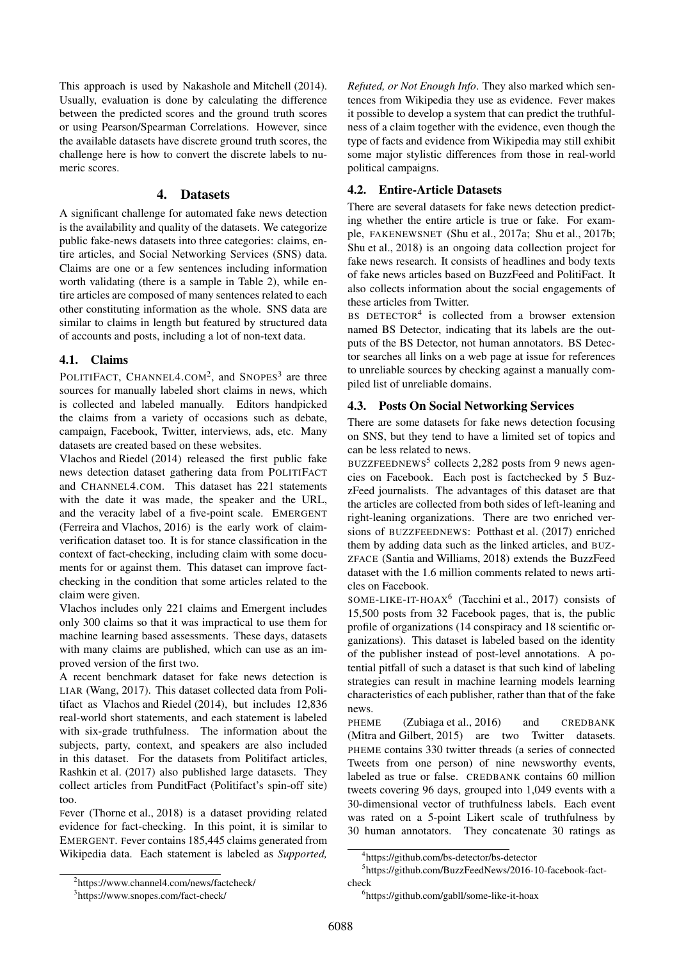This approach is used by Nakashole and Mitchell (2014). Usually, evaluation is done by calculating the difference between the predicted scores and the ground truth scores or using Pearson/Spearman Correlations. However, since the available datasets have discrete ground truth scores, the challenge here is how to convert the discrete labels to numeric scores.

### 4. Datasets

A significant challenge for automated fake news detection is the availability and quality of the datasets. We categorize public fake-news datasets into three categories: claims, entire articles, and Social Networking Services (SNS) data. Claims are one or a few sentences including information worth validating (there is a sample in Table 2), while entire articles are composed of many sentences related to each other constituting information as the whole. SNS data are similar to claims in length but featured by structured data of accounts and posts, including a lot of non-text data.

#### 4.1. Claims

POLITIFACT, CHANNEL4.COM<sup>2</sup>, and SNOPES<sup>3</sup> are three sources for manually labeled short claims in news, which is collected and labeled manually. Editors handpicked the claims from a variety of occasions such as debate, campaign, Facebook, Twitter, interviews, ads, etc. Many datasets are created based on these websites.

Vlachos and Riedel (2014) released the first public fake news detection dataset gathering data from POLITIFACT and CHANNEL4.COM. This dataset has 221 statements with the date it was made, the speaker and the URL, and the veracity label of a five-point scale. EMERGENT (Ferreira and Vlachos, 2016) is the early work of claimverification dataset too. It is for stance classification in the context of fact-checking, including claim with some documents for or against them. This dataset can improve factchecking in the condition that some articles related to the claim were given.

Vlachos includes only 221 claims and Emergent includes only 300 claims so that it was impractical to use them for machine learning based assessments. These days, datasets with many claims are published, which can use as an improved version of the first two.

A recent benchmark dataset for fake news detection is LIAR (Wang, 2017). This dataset collected data from Politifact as Vlachos and Riedel (2014), but includes 12,836 real-world short statements, and each statement is labeled with six-grade truthfulness. The information about the subjects, party, context, and speakers are also included in this dataset. For the datasets from Politifact articles, Rashkin et al. (2017) also published large datasets. They collect articles from PunditFact (Politifact's spin-off site) too.

Fever (Thorne et al., 2018) is a dataset providing related evidence for fact-checking. In this point, it is similar to EMERGENT. Fever contains 185,445 claims generated from Wikipedia data. Each statement is labeled as *Supported,*

*Refuted, or Not Enough Info*. They also marked which sentences from Wikipedia they use as evidence. Fever makes it possible to develop a system that can predict the truthfulness of a claim together with the evidence, even though the type of facts and evidence from Wikipedia may still exhibit some major stylistic differences from those in real-world political campaigns.

#### 4.2. Entire-Article Datasets

There are several datasets for fake news detection predicting whether the entire article is true or fake. For example, FAKENEWSNET (Shu et al., 2017a; Shu et al., 2017b; Shu et al., 2018) is an ongoing data collection project for fake news research. It consists of headlines and body texts of fake news articles based on BuzzFeed and PolitiFact. It also collects information about the social engagements of these articles from Twitter.

BS DETECTOR<sup>4</sup> is collected from a browser extension named BS Detector, indicating that its labels are the outputs of the BS Detector, not human annotators. BS Detector searches all links on a web page at issue for references to unreliable sources by checking against a manually compiled list of unreliable domains.

### 4.3. Posts On Social Networking Services

There are some datasets for fake news detection focusing on SNS, but they tend to have a limited set of topics and can be less related to news.

BUZZFEEDNEWS<sup>5</sup> collects 2,282 posts from 9 news agencies on Facebook. Each post is factchecked by 5 BuzzFeed journalists. The advantages of this dataset are that the articles are collected from both sides of left-leaning and right-leaning organizations. There are two enriched versions of BUZZFEEDNEWS: Potthast et al. (2017) enriched them by adding data such as the linked articles, and BUZ-ZFACE (Santia and Williams, 2018) extends the BuzzFeed dataset with the 1.6 million comments related to news articles on Facebook.

SOME-LIKE-IT-HOAX<sup>6</sup> (Tacchini et al., 2017) consists of 15,500 posts from 32 Facebook pages, that is, the public profile of organizations (14 conspiracy and 18 scientific organizations). This dataset is labeled based on the identity of the publisher instead of post-level annotations. A potential pitfall of such a dataset is that such kind of labeling strategies can result in machine learning models learning characteristics of each publisher, rather than that of the fake news.

PHEME (Zubiaga et al., 2016) and CREDBANK (Mitra and Gilbert, 2015) are two Twitter datasets. PHEME contains 330 twitter threads (a series of connected Tweets from one person) of nine newsworthy events, labeled as true or false. CREDBANK contains 60 million tweets covering 96 days, grouped into 1,049 events with a 30-dimensional vector of truthfulness labels. Each event was rated on a 5-point Likert scale of truthfulness by 30 human annotators. They concatenate 30 ratings as

<sup>&</sup>lt;sup>2</sup>https://www.channel4.com/news/factcheck/

<sup>3</sup> https://www.snopes.com/fact-check/

<sup>4</sup> https://github.com/bs-detector/bs-detector

<sup>5</sup> https://github.com/BuzzFeedNews/2016-10-facebook-factcheck

<sup>6</sup> https://github.com/gabll/some-like-it-hoax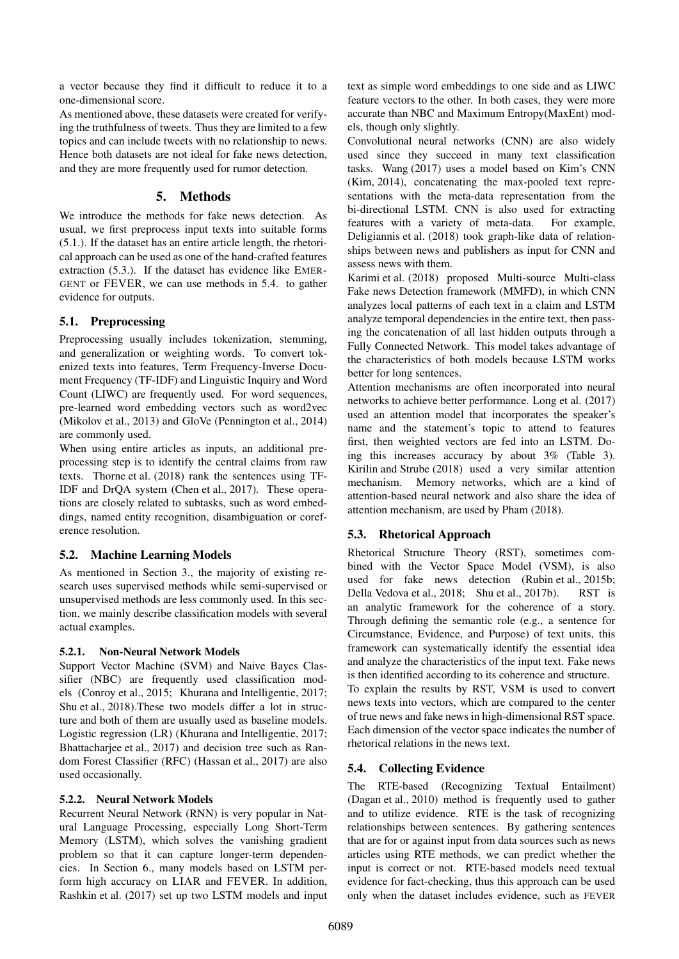a vector because they find it difficult to reduce it to a one-dimensional score.

As mentioned above, these datasets were created for verifying the truthfulness of tweets. Thus they are limited to a few topics and can include tweets with no relationship to news. Hence both datasets are not ideal for fake news detection, and they are more frequently used for rumor detection.

### 5. Methods

We introduce the methods for fake news detection. As usual, we first preprocess input texts into suitable forms (5.1.). If the dataset has an entire article length, the rhetorical approach can be used as one of the hand-crafted features extraction (5.3.). If the dataset has evidence like EMER-GENT or FEVER, we can use methods in 5.4. to gather evidence for outputs.

## 5.1. Preprocessing

Preprocessing usually includes tokenization, stemming, and generalization or weighting words. To convert tokenized texts into features, Term Frequency-Inverse Document Frequency (TF-IDF) and Linguistic Inquiry and Word Count (LIWC) are frequently used. For word sequences, pre-learned word embedding vectors such as word2vec (Mikolov et al., 2013) and GloVe (Pennington et al., 2014) are commonly used.

When using entire articles as inputs, an additional preprocessing step is to identify the central claims from raw texts. Thorne et al. (2018) rank the sentences using TF-IDF and DrQA system (Chen et al., 2017). These operations are closely related to subtasks, such as word embeddings, named entity recognition, disambiguation or coreference resolution.

### 5.2. Machine Learning Models

As mentioned in Section 3., the majority of existing research uses supervised methods while semi-supervised or unsupervised methods are less commonly used. In this section, we mainly describe classification models with several actual examples.

### 5.2.1. Non-Neural Network Models

Support Vector Machine (SVM) and Naive Bayes Classifier (NBC) are frequently used classification models (Conroy et al., 2015; Khurana and Intelligentie, 2017; Shu et al., 2018).These two models differ a lot in structure and both of them are usually used as baseline models. Logistic regression (LR) (Khurana and Intelligentie, 2017; Bhattacharjee et al., 2017) and decision tree such as Random Forest Classifier (RFC) (Hassan et al., 2017) are also used occasionally.

### 5.2.2. Neural Network Models

Recurrent Neural Network (RNN) is very popular in Natural Language Processing, especially Long Short-Term Memory (LSTM), which solves the vanishing gradient problem so that it can capture longer-term dependencies. In Section 6., many models based on LSTM perform high accuracy on LIAR and FEVER. In addition, Rashkin et al. (2017) set up two LSTM models and input text as simple word embeddings to one side and as LIWC feature vectors to the other. In both cases, they were more accurate than NBC and Maximum Entropy(MaxEnt) models, though only slightly.

Convolutional neural networks (CNN) are also widely used since they succeed in many text classification tasks. Wang (2017) uses a model based on Kim's CNN (Kim, 2014), concatenating the max-pooled text representations with the meta-data representation from the bi-directional LSTM. CNN is also used for extracting features with a variety of meta-data. For example, Deligiannis et al. (2018) took graph-like data of relationships between news and publishers as input for CNN and assess news with them.

Karimi et al. (2018) proposed Multi-source Multi-class Fake news Detection framework (MMFD), in which CNN analyzes local patterns of each text in a claim and LSTM analyze temporal dependencies in the entire text, then passing the concatenation of all last hidden outputs through a Fully Connected Network. This model takes advantage of the characteristics of both models because LSTM works better for long sentences.

Attention mechanisms are often incorporated into neural networks to achieve better performance. Long et al. (2017) used an attention model that incorporates the speaker's name and the statement's topic to attend to features first, then weighted vectors are fed into an LSTM. Doing this increases accuracy by about 3% (Table 3). Kirilin and Strube (2018) used a very similar attention mechanism. Memory networks, which are a kind of attention-based neural network and also share the idea of attention mechanism, are used by Pham (2018).

# 5.3. Rhetorical Approach

Rhetorical Structure Theory (RST), sometimes combined with the Vector Space Model (VSM), is also used for fake news detection (Rubin et al., 2015b; Della Vedova et al., 2018; Shu et al., 2017b). RST is an analytic framework for the coherence of a story. Through defining the semantic role (e.g., a sentence for Circumstance, Evidence, and Purpose) of text units, this framework can systematically identify the essential idea and analyze the characteristics of the input text. Fake news is then identified according to its coherence and structure. To explain the results by RST, VSM is used to convert

news texts into vectors, which are compared to the center of true news and fake news in high-dimensional RST space. Each dimension of the vector space indicates the number of rhetorical relations in the news text.

# 5.4. Collecting Evidence

The RTE-based (Recognizing Textual Entailment) (Dagan et al., 2010) method is frequently used to gather and to utilize evidence. RTE is the task of recognizing relationships between sentences. By gathering sentences that are for or against input from data sources such as news articles using RTE methods, we can predict whether the input is correct or not. RTE-based models need textual evidence for fact-checking, thus this approach can be used only when the dataset includes evidence, such as FEVER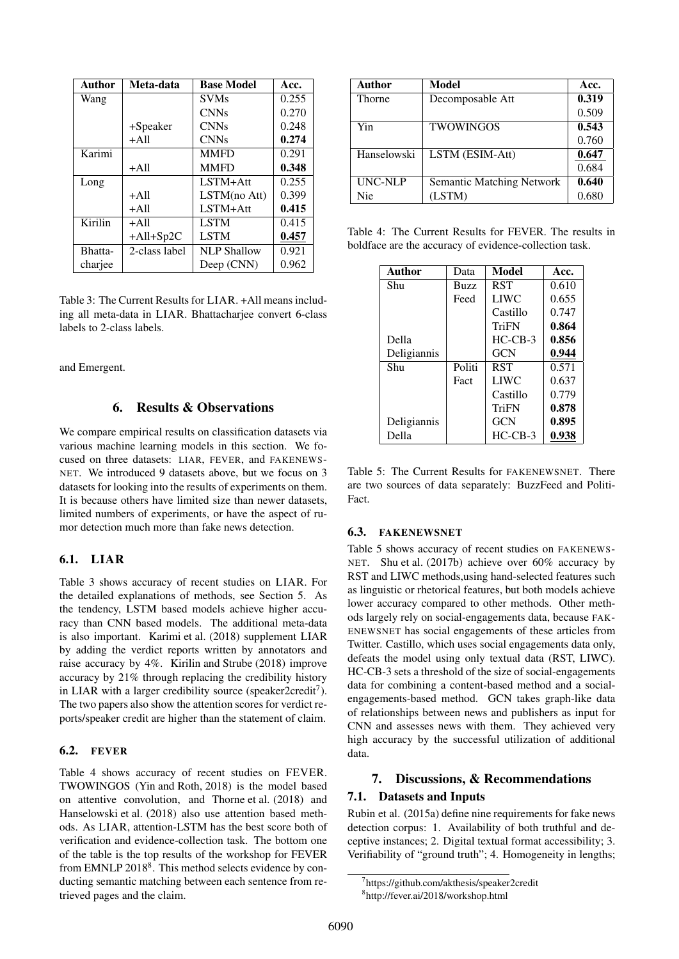| <b>Author</b> | Meta-data     | <b>Base Model</b>  | Acc.  |
|---------------|---------------|--------------------|-------|
| Wang          |               | <b>SVMs</b>        | 0.255 |
|               |               | <b>CNNs</b>        | 0.270 |
|               | +Speaker      | <b>CNNs</b>        | 0.248 |
|               | $+A11$        | <b>CNNs</b>        | 0.274 |
| Karimi        |               | <b>MMFD</b>        | 0.291 |
|               | $+A11$        | <b>MMFD</b>        | 0.348 |
| Long          |               | $LSTM+Att$         | 0.255 |
|               | $+A11$        | LSTM(no Att)       | 0.399 |
|               | $+A11$        | LSTM+Att           | 0.415 |
| Kirilin       | $+A11$        | <b>LSTM</b>        | 0.415 |
|               | $+All+Sp2C$   | <b>LSTM</b>        | 0.457 |
| Bhatta-       | 2-class label | <b>NLP Shallow</b> | 0.921 |
| charjee       |               | Deep (CNN)         | 0.962 |

Table 3: The Current Results for LIAR. +All means including all meta-data in LIAR. Bhattacharjee convert 6-class labels to 2-class labels.

and Emergent.

### 6. Results & Observations

We compare empirical results on classification datasets via various machine learning models in this section. We focused on three datasets: LIAR, FEVER, and FAKENEWS-NET. We introduced 9 datasets above, but we focus on 3 datasets for looking into the results of experiments on them. It is because others have limited size than newer datasets, limited numbers of experiments, or have the aspect of rumor detection much more than fake news detection.

### 6.1. LIAR

Table 3 shows accuracy of recent studies on LIAR. For the detailed explanations of methods, see Section 5. As the tendency, LSTM based models achieve higher accuracy than CNN based models. The additional meta-data is also important. Karimi et al. (2018) supplement LIAR by adding the verdict reports written by annotators and raise accuracy by 4%. Kirilin and Strube (2018) improve accuracy by 21% through replacing the credibility history in LIAR with a larger credibility source (speaker2credit7). The two papers also show the attention scores for verdict reports/speaker credit are higher than the statement of claim.

#### **6.2. FEVER**

Table 4 shows accuracy of recent studies on FEVER. TWOWINGOS (Yin and Roth, 2018) is the model based on attentive convolution, and Thorne et al. (2018) and Hanselowski et al. (2018) also use attention based methods. As LIAR, attention-LSTM has the best score both of verification and evidence-collection task. The bottom one of the table is the top results of the workshop for FEVER from EMNLP 2018<sup>8</sup>. This method selects evidence by conducting semantic matching between each sentence from retrieved pages and the claim.

| Author        | Model                            | Acc.  |
|---------------|----------------------------------|-------|
| <b>Thorne</b> | Decomposable Att                 | 0.319 |
|               |                                  | 0.509 |
| Yin           | <b>TWOWINGOS</b>                 | 0.543 |
|               |                                  | 0.760 |
| Hanselowski   | LSTM (ESIM-Att)                  | 0.647 |
|               |                                  | 0.684 |
| UNC-NLP       | <b>Semantic Matching Network</b> | 0.640 |
| Nie           | (LSTM)                           | 0.680 |

Table 4: The Current Results for FEVER. The results in boldface are the accuracy of evidence-collection task.

| Author      | Data        | Model       | Acc.  |
|-------------|-------------|-------------|-------|
| Shu         | <b>Buzz</b> | <b>RST</b>  | 0.610 |
|             | Feed        | <b>LIWC</b> | 0.655 |
|             |             | Castillo    | 0.747 |
|             |             | TriFN       | 0.864 |
| Della       |             | $HC-CB-3$   | 0.856 |
| Deligiannis |             | <b>GCN</b>  | 0.944 |
| Shu         | Politi      | <b>RST</b>  | 0.571 |
|             | Fact        | <b>LIWC</b> | 0.637 |
|             |             | Castillo    | 0.779 |
|             |             | TriFN       | 0.878 |
| Deligiannis |             | <b>GCN</b>  | 0.895 |
| Della       |             | $HC-CB-3$   | 0.938 |

Table 5: The Current Results for FAKENEWSNET. There are two sources of data separately: BuzzFeed and Politi-Fact.

### 6.3. FAKENEWSNET

Table 5 shows accuracy of recent studies on FAKENEWS-NET. Shu et al. (2017b) achieve over 60% accuracy by RST and LIWC methods,using hand-selected features such as linguistic or rhetorical features, but both models achieve lower accuracy compared to other methods. Other methods largely rely on social-engagements data, because FAK-ENEWSNET has social engagements of these articles from Twitter. Castillo, which uses social engagements data only, defeats the model using only textual data (RST, LIWC). HC-CB-3 sets a threshold of the size of social-engagements data for combining a content-based method and a socialengagements-based method. GCN takes graph-like data of relationships between news and publishers as input for CNN and assesses news with them. They achieved very high accuracy by the successful utilization of additional data.

### 7. Discussions, & Recommendations

### 7.1. Datasets and Inputs

Rubin et al. (2015a) define nine requirements for fake news detection corpus: 1. Availability of both truthful and deceptive instances; 2. Digital textual format accessibility; 3. Verifiability of "ground truth"; 4. Homogeneity in lengths;

<sup>7</sup> https://github.com/akthesis/speaker2credit 8 http://fever.ai/2018/workshop.html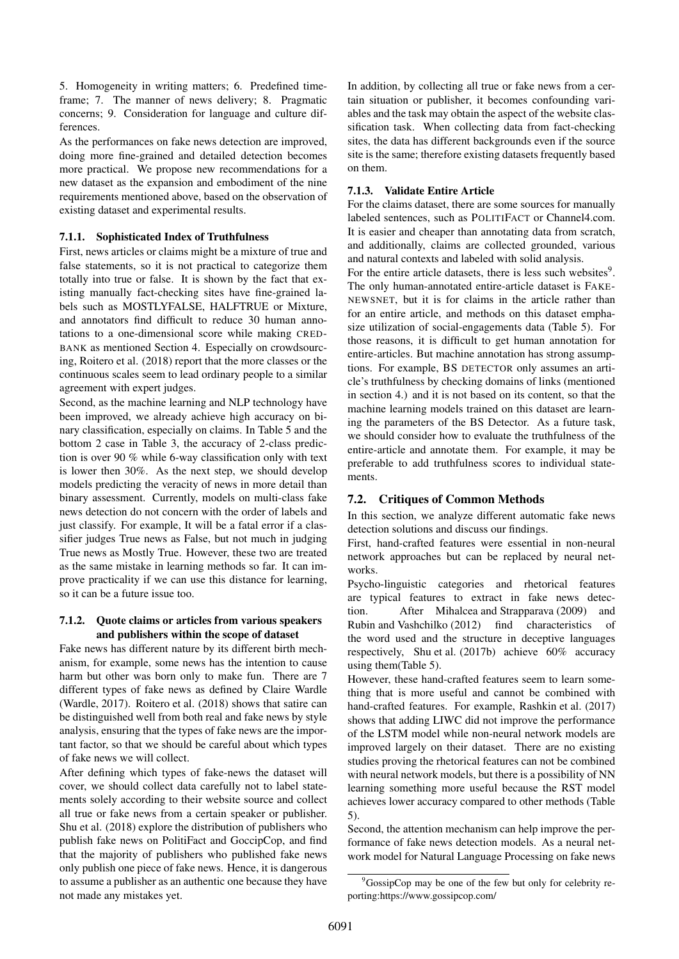5. Homogeneity in writing matters; 6. Predefined timeframe; 7. The manner of news delivery; 8. Pragmatic concerns; 9. Consideration for language and culture differences.

As the performances on fake news detection are improved, doing more fine-grained and detailed detection becomes more practical. We propose new recommendations for a new dataset as the expansion and embodiment of the nine requirements mentioned above, based on the observation of existing dataset and experimental results.

#### 7.1.1. Sophisticated Index of Truthfulness

First, news articles or claims might be a mixture of true and false statements, so it is not practical to categorize them totally into true or false. It is shown by the fact that existing manually fact-checking sites have fine-grained labels such as MOSTLYFALSE, HALFTRUE or Mixture, and annotators find difficult to reduce 30 human annotations to a one-dimensional score while making CRED-BANK as mentioned Section 4. Especially on crowdsourcing, Roitero et al. (2018) report that the more classes or the continuous scales seem to lead ordinary people to a similar agreement with expert judges.

Second, as the machine learning and NLP technology have been improved, we already achieve high accuracy on binary classification, especially on claims. In Table 5 and the bottom 2 case in Table 3, the accuracy of 2-class prediction is over 90 % while 6-way classification only with text is lower then 30%. As the next step, we should develop models predicting the veracity of news in more detail than binary assessment. Currently, models on multi-class fake news detection do not concern with the order of labels and just classify. For example, It will be a fatal error if a classifier judges True news as False, but not much in judging True news as Mostly True. However, these two are treated as the same mistake in learning methods so far. It can improve practicality if we can use this distance for learning, so it can be a future issue too.

#### 7.1.2. Quote claims or articles from various speakers and publishers within the scope of dataset

Fake news has different nature by its different birth mechanism, for example, some news has the intention to cause harm but other was born only to make fun. There are 7 different types of fake news as defined by Claire Wardle (Wardle, 2017). Roitero et al. (2018) shows that satire can be distinguished well from both real and fake news by style analysis, ensuring that the types of fake news are the important factor, so that we should be careful about which types of fake news we will collect.

After defining which types of fake-news the dataset will cover, we should collect data carefully not to label statements solely according to their website source and collect all true or fake news from a certain speaker or publisher. Shu et al. (2018) explore the distribution of publishers who publish fake news on PolitiFact and GoccipCop, and find that the majority of publishers who published fake news only publish one piece of fake news. Hence, it is dangerous to assume a publisher as an authentic one because they have not made any mistakes yet.

In addition, by collecting all true or fake news from a certain situation or publisher, it becomes confounding variables and the task may obtain the aspect of the website classification task. When collecting data from fact-checking sites, the data has different backgrounds even if the source site is the same; therefore existing datasets frequently based on them.

#### 7.1.3. Validate Entire Article

For the claims dataset, there are some sources for manually labeled sentences, such as POLITIFACT or Channel4.com. It is easier and cheaper than annotating data from scratch, and additionally, claims are collected grounded, various and natural contexts and labeled with solid analysis.

For the entire article datasets, there is less such websites $9$ . The only human-annotated entire-article dataset is FAKE-NEWSNET, but it is for claims in the article rather than for an entire article, and methods on this dataset emphasize utilization of social-engagements data (Table 5). For those reasons, it is difficult to get human annotation for entire-articles. But machine annotation has strong assumptions. For example, BS DETECTOR only assumes an article's truthfulness by checking domains of links (mentioned in section 4.) and it is not based on its content, so that the machine learning models trained on this dataset are learning the parameters of the BS Detector. As a future task, we should consider how to evaluate the truthfulness of the entire-article and annotate them. For example, it may be preferable to add truthfulness scores to individual statements.

### 7.2. Critiques of Common Methods

In this section, we analyze different automatic fake news detection solutions and discuss our findings.

First, hand-crafted features were essential in non-neural network approaches but can be replaced by neural networks.

Psycho-linguistic categories and rhetorical features are typical features to extract in fake news detection. After Mihalcea and Strapparava (2009) and Rubin and Vashchilko (2012) find characteristics of the word used and the structure in deceptive languages respectively, Shu et al. (2017b) achieve 60% accuracy using them(Table 5).

However, these hand-crafted features seem to learn something that is more useful and cannot be combined with hand-crafted features. For example, Rashkin et al. (2017) shows that adding LIWC did not improve the performance of the LSTM model while non-neural network models are improved largely on their dataset. There are no existing studies proving the rhetorical features can not be combined with neural network models, but there is a possibility of NN learning something more useful because the RST model achieves lower accuracy compared to other methods (Table 5).

Second, the attention mechanism can help improve the performance of fake news detection models. As a neural network model for Natural Language Processing on fake news

<sup>9</sup>GossipCop may be one of the few but only for celebrity reporting:https://www.gossipcop.com/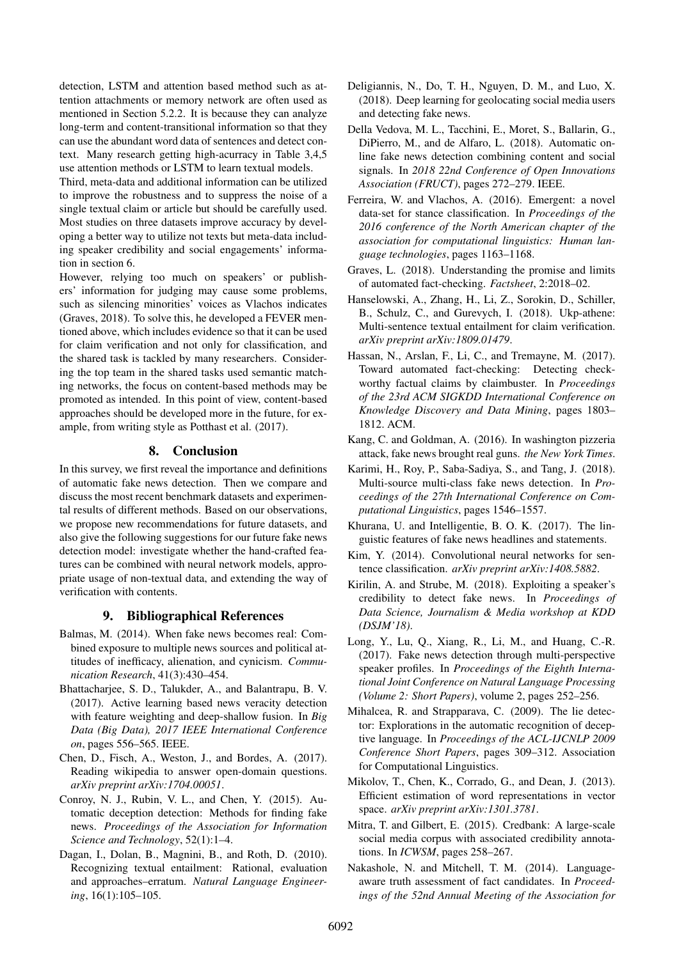detection, LSTM and attention based method such as attention attachments or memory network are often used as mentioned in Section 5.2.2. It is because they can analyze long-term and content-transitional information so that they can use the abundant word data of sentences and detect context. Many research getting high-acurracy in Table 3,4,5 use attention methods or LSTM to learn textual models.

Third, meta-data and additional information can be utilized to improve the robustness and to suppress the noise of a single textual claim or article but should be carefully used. Most studies on three datasets improve accuracy by developing a better way to utilize not texts but meta-data including speaker credibility and social engagements' information in section 6.

However, relying too much on speakers' or publishers' information for judging may cause some problems, such as silencing minorities' voices as Vlachos indicates (Graves, 2018). To solve this, he developed a FEVER mentioned above, which includes evidence so that it can be used for claim verification and not only for classification, and the shared task is tackled by many researchers. Considering the top team in the shared tasks used semantic matching networks, the focus on content-based methods may be promoted as intended. In this point of view, content-based approaches should be developed more in the future, for example, from writing style as Potthast et al. (2017).

### 8. Conclusion

In this survey, we first reveal the importance and definitions of automatic fake news detection. Then we compare and discuss the most recent benchmark datasets and experimental results of different methods. Based on our observations, we propose new recommendations for future datasets, and also give the following suggestions for our future fake news detection model: investigate whether the hand-crafted features can be combined with neural network models, appropriate usage of non-textual data, and extending the way of verification with contents.

#### 9. Bibliographical References

- Balmas, M. (2014). When fake news becomes real: Combined exposure to multiple news sources and political attitudes of inefficacy, alienation, and cynicism. *Communication Research*, 41(3):430–454.
- Bhattacharjee, S. D., Talukder, A., and Balantrapu, B. V. (2017). Active learning based news veracity detection with feature weighting and deep-shallow fusion. In *Big Data (Big Data), 2017 IEEE International Conference on*, pages 556–565. IEEE.
- Chen, D., Fisch, A., Weston, J., and Bordes, A. (2017). Reading wikipedia to answer open-domain questions. *arXiv preprint arXiv:1704.00051*.
- Conroy, N. J., Rubin, V. L., and Chen, Y. (2015). Automatic deception detection: Methods for finding fake news. *Proceedings of the Association for Information Science and Technology*, 52(1):1–4.
- Dagan, I., Dolan, B., Magnini, B., and Roth, D. (2010). Recognizing textual entailment: Rational, evaluation and approaches–erratum. *Natural Language Engineering*, 16(1):105–105.
- Deligiannis, N., Do, T. H., Nguyen, D. M., and Luo, X. (2018). Deep learning for geolocating social media users and detecting fake news.
- Della Vedova, M. L., Tacchini, E., Moret, S., Ballarin, G., DiPierro, M., and de Alfaro, L. (2018). Automatic online fake news detection combining content and social signals. In *2018 22nd Conference of Open Innovations Association (FRUCT)*, pages 272–279. IEEE.
- Ferreira, W. and Vlachos, A. (2016). Emergent: a novel data-set for stance classification. In *Proceedings of the 2016 conference of the North American chapter of the association for computational linguistics: Human language technologies*, pages 1163–1168.
- Graves, L. (2018). Understanding the promise and limits of automated fact-checking. *Factsheet*, 2:2018–02.
- Hanselowski, A., Zhang, H., Li, Z., Sorokin, D., Schiller, B., Schulz, C., and Gurevych, I. (2018). Ukp-athene: Multi-sentence textual entailment for claim verification. *arXiv preprint arXiv:1809.01479*.
- Hassan, N., Arslan, F., Li, C., and Tremayne, M. (2017). Toward automated fact-checking: Detecting checkworthy factual claims by claimbuster. In *Proceedings of the 23rd ACM SIGKDD International Conference on Knowledge Discovery and Data Mining*, pages 1803– 1812. ACM.
- Kang, C. and Goldman, A. (2016). In washington pizzeria attack, fake news brought real guns. *the New York Times*.
- Karimi, H., Roy, P., Saba-Sadiya, S., and Tang, J. (2018). Multi-source multi-class fake news detection. In *Proceedings of the 27th International Conference on Computational Linguistics*, pages 1546–1557.
- Khurana, U. and Intelligentie, B. O. K. (2017). The linguistic features of fake news headlines and statements.
- Kim, Y. (2014). Convolutional neural networks for sentence classification. *arXiv preprint arXiv:1408.5882*.
- Kirilin, A. and Strube, M. (2018). Exploiting a speaker's credibility to detect fake news. In *Proceedings of Data Science, Journalism & Media workshop at KDD (DSJM'18)*.
- Long, Y., Lu, Q., Xiang, R., Li, M., and Huang, C.-R. (2017). Fake news detection through multi-perspective speaker profiles. In *Proceedings of the Eighth International Joint Conference on Natural Language Processing (Volume 2: Short Papers)*, volume 2, pages 252–256.
- Mihalcea, R. and Strapparava, C. (2009). The lie detector: Explorations in the automatic recognition of deceptive language. In *Proceedings of the ACL-IJCNLP 2009 Conference Short Papers*, pages 309–312. Association for Computational Linguistics.
- Mikolov, T., Chen, K., Corrado, G., and Dean, J. (2013). Efficient estimation of word representations in vector space. *arXiv preprint arXiv:1301.3781*.
- Mitra, T. and Gilbert, E. (2015). Credbank: A large-scale social media corpus with associated credibility annotations. In *ICWSM*, pages 258–267.
- Nakashole, N. and Mitchell, T. M. (2014). Languageaware truth assessment of fact candidates. In *Proceedings of the 52nd Annual Meeting of the Association for*